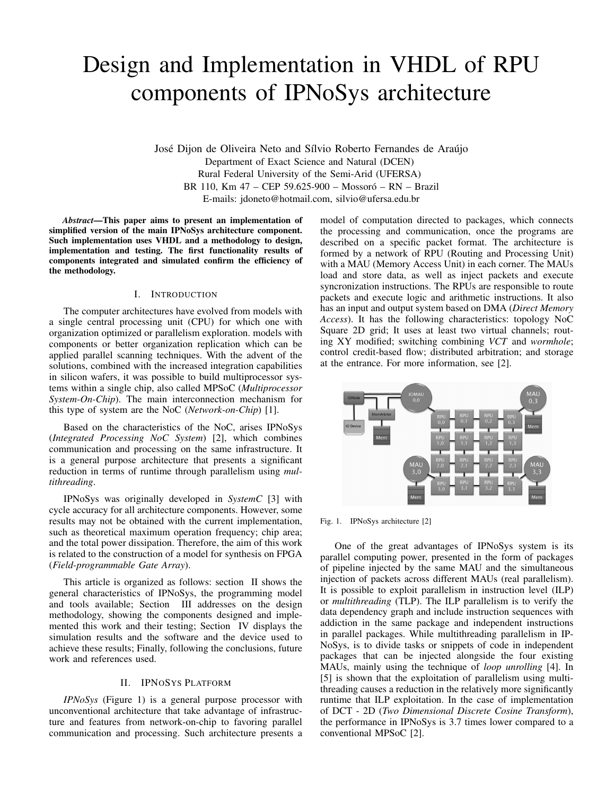# Design and Implementation in VHDL of RPU components of IPNoSys architecture

José Dijon de Oliveira Neto and Sílvio Roberto Fernandes de Araújo Department of Exact Science and Natural (DCEN) Rural Federal University of the Semi-Arid (UFERSA) BR 110, Km 47 – CEP 59.625-900 – Mossoró – RN – Brazil E-mails: jdoneto@hotmail.com, silvio@ufersa.edu.br

*Abstract*—This paper aims to present an implementation of simplified version of the main IPNoSys architecture component. Such implementation uses VHDL and a methodology to design, implementation and testing. The first functionality results of components integrated and simulated confirm the efficiency of the methodology.

#### I. INTRODUCTION

The computer architectures have evolved from models with a single central processing unit (CPU) for which one with organization optimized or parallelism exploration. models with components or better organization replication which can be applied parallel scanning techniques. With the advent of the solutions, combined with the increased integration capabilities in silicon wafers, it was possible to build multiprocessor systems within a single chip, also called MPSoC (*Multiprocessor System-On-Chip*). The main interconnection mechanism for this type of system are the NoC (*Network-on-Chip*) [1].

Based on the characteristics of the NoC, arises IPNoSys (*Integrated Processing NoC System*) [2], which combines communication and processing on the same infrastructure. It is a general purpose architecture that presents a significant reduction in terms of runtime through parallelism using *multithreading*.

IPNoSys was originally developed in *SystemC* [3] with cycle accuracy for all architecture components. However, some results may not be obtained with the current implementation, such as theoretical maximum operation frequency; chip area; and the total power dissipation. Therefore, the aim of this work is related to the construction of a model for synthesis on FPGA (*Field-programmable Gate Array*).

This article is organized as follows: section II shows the general characteristics of IPNoSys, the programming model and tools available; Section III addresses on the design methodology, showing the components designed and implemented this work and their testing; Section IV displays the simulation results and the software and the device used to achieve these results; Finally, following the conclusions, future work and references used.

# II. IPNOSYS PLATFORM

*IPNoSys* (Figure 1) is a general purpose processor with unconventional architecture that take advantage of infrastructure and features from network-on-chip to favoring parallel communication and processing. Such architecture presents a model of computation directed to packages, which connects the processing and communication, once the programs are described on a specific packet format. The architecture is formed by a network of RPU (Routing and Processing Unit) with a MAU (Memory Access Unit) in each corner. The MAUs load and store data, as well as inject packets and execute syncronization instructions. The RPUs are responsible to route packets and execute logic and arithmetic instructions. It also has an input and output system based on DMA (*Direct Memory Access*). It has the following characteristics: topology NoC Square 2D grid; It uses at least two virtual channels; routing XY modified; switching combining *VCT* and *wormhole*; control credit-based flow; distributed arbitration; and storage at the entrance. For more information, see [2].



Fig. 1. IPNoSys architecture [2]

One of the great advantages of IPNoSys system is its parallel computing power, presented in the form of packages of pipeline injected by the same MAU and the simultaneous injection of packets across different MAUs (real parallelism). It is possible to exploit parallelism in instruction level (ILP) or *multithreading* (TLP). The ILP parallelism is to verify the data dependency graph and include instruction sequences with addiction in the same package and independent instructions in parallel packages. While multithreading parallelism in IP-NoSys, is to divide tasks or snippets of code in independent packages that can be injected alongside the four existing MAUs, mainly using the technique of *loop unrolling* [4]. In [5] is shown that the exploitation of parallelism using multithreading causes a reduction in the relatively more significantly runtime that ILP exploitation. In the case of implementation of DCT - 2D (*Two Dimensional Discrete Cosine Transform*), the performance in IPNoSys is 3.7 times lower compared to a conventional MPSoC [2].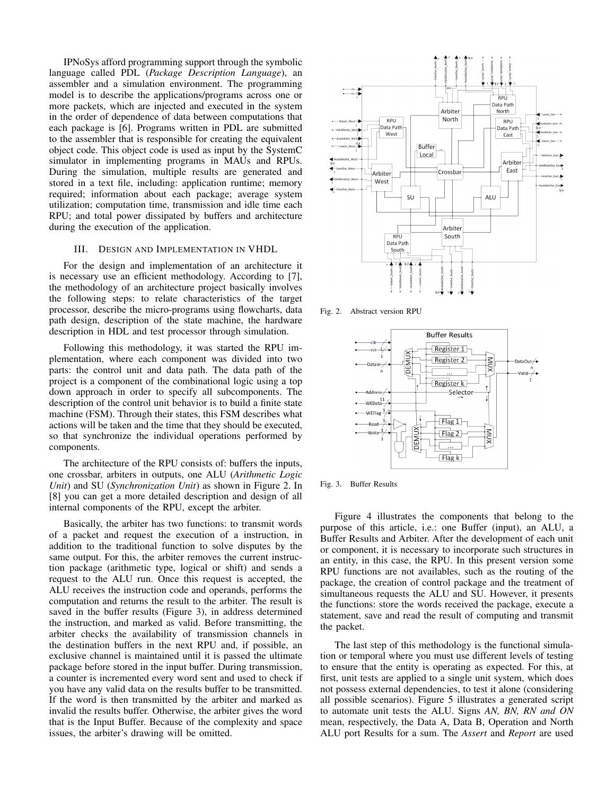IPNoSys afford programming support through the symbolic language called PDL (*Package Description Language*), an assembler and a simulation environment. The programming model is to describe the applications/programs across one or more packets, which are injected and executed in the system in the order of dependence of data between computations that each package is [6]. Programs written in PDL are submitted to the assembler that is responsible for creating the equivalent object code. This object code is used as input by the SystemC simulator in implementing programs in MAUs and RPUs. During the simulation, multiple results are generated and stored in a text file, including: application runtime; memory required; information about each package; average system utilization; computation time, transmission and idle time each RPU; and total power dissipated by buffers and architecture during the execution of the application.

## III. DESIGN AND IMPLEMENTATION IN VHDL

For the design and implementation of an architecture it is necessary use an efficient methodology. According to [7], the methodology of an architecture project basically involves the following steps: to relate characteristics of the target processor, describe the micro-programs using flowcharts, data path design, description of the state machine, the hardware description in HDL and test processor through simulation.

Following this methodology, it was started the RPU implementation, where each component was divided into two parts: the control unit and data path. The data path of the project is a component of the combinational logic using a top down approach in order to specify all subcomponents. The description of the control unit behavior is to build a finite state machine (FSM). Through their states, this FSM describes what actions will be taken and the time that they should be executed, so that synchronize the individual operations performed by components.

The architecture of the RPU consists of: buffers the inputs, one crossbar, arbiters in outputs, one ALU (*Arithmetic Logic Unit*) and SU (*Synchronization Unit*) as shown in Figure 2. In [8] you can get a more detailed description and design of all internal components of the RPU, except the arbiter.

Basically, the arbiter has two functions: to transmit words of a packet and request the execution of a instruction, in addition to the traditional function to solve disputes by the same output. For this, the arbiter removes the current instruction package (arithmetic type, logical or shift) and sends a request to the ALU run. Once this request is accepted, the ALU receives the instruction code and operands, performs the computation and returns the result to the arbiter. The result is saved in the buffer results (Figure 3), in address determined the instruction, and marked as valid. Before transmitting, the arbiter checks the availability of transmission channels in the destination buffers in the next RPU and, if possible, an exclusive channel is maintained until it is passed the ultimate package before stored in the input buffer. During transmission, a counter is incremented every word sent and used to check if you have any valid data on the results buffer to be transmitted. If the word is then transmitted by the arbiter and marked as invalid the results buffer. Otherwise, the arbiter gives the word that is the Input Buffer. Because of the complexity and space issues, the arbiter's drawing will be omitted.



Fig. 2. Abstract version RPU



Fig. 3. Buffer Results

Figure 4 illustrates the components that belong to the purpose of this article, i.e.: one Buffer (input), an ALU, a Buffer Results and Arbiter. After the development of each unit or component, it is necessary to incorporate such structures in an entity, in this case, the RPU. In this present version some RPU functions are not availables, such as the routing of the package, the creation of control package and the treatment of simultaneous requests the ALU and SU. However, it presents the functions: store the words received the package, execute a statement, save and read the result of computing and transmit the packet.

The last step of this methodology is the functional simulation or temporal where you must use different levels of testing to ensure that the entity is operating as expected. For this, at first, unit tests are applied to a single unit system, which does not possess external dependencies, to test it alone (considering all possible scenarios). Figure 5 illustrates a generated script to automate unit tests the ALU. Signs *AN, BN, RN and ON* mean, respectively, the Data A, Data B, Operation and North ALU port Results for a sum. The *Assert* and *Report* are used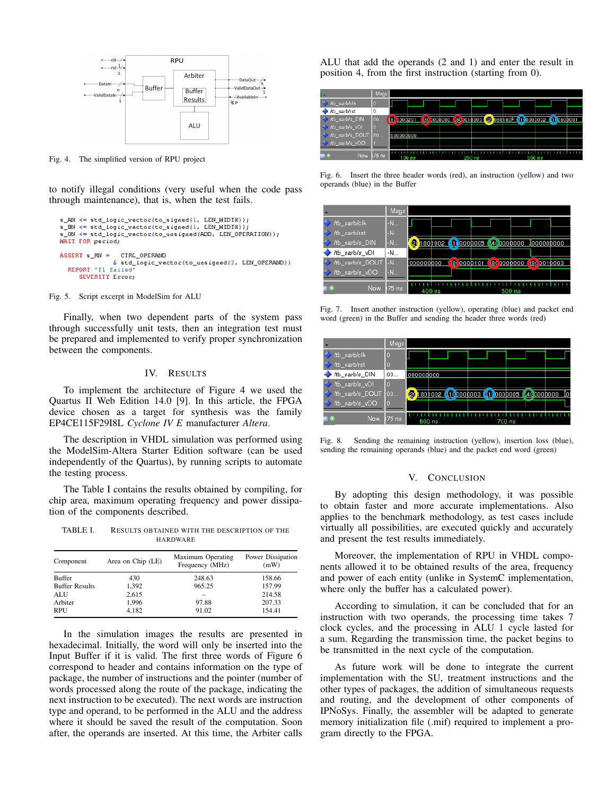

Fig. 4. The simplified version of RPU project

to notify illegal conditions (very useful when the code pass through maintenance), that is, when the test fails.

```
s_AN <= std_logic_vector(to_signed(1, LEN_WIDT8));
WAIT FOR period;
ASSERT s_RN =
            CIRL OPERAND
           \overline{b} std_logic_vector(to_unsigned(2, LEN_0PERAND))
 REPORT "TI failed"
    SEVERITY Eccocy
```
Fig. 5. Script excerpt in ModelSim for ALU

Finally, when two dependent parts of the system pass through successfully unit tests, then an integration test must be prepared and implemented to verify proper synchronization between the components.

#### IV. RESULTS

To implement the architecture of Figure 4 we used the Quartus II Web Edition 14.0 [9]. In this article, the FPGA device chosen as a target for synthesis was the family EP4CE115F29I8L *Cyclone IV E* manufacturer *Altera*.

The description in VHDL simulation was performed using the ModelSim-Altera Starter Edition software (can be used independently of the Quartus), by running scripts to automate the testing process.

The Table I contains the results obtained by compiling, for chip area, maximum operating frequency and power dissipation of the components described.

TABLE I. RESULTS OBTAINED WITH THE DESCRIPTION OF THE HARDWARE

| Component             | Area on Chip (LE) | Maximum Operating<br>Frequency (MHz) | Power Dissipation<br>(mW) |
|-----------------------|-------------------|--------------------------------------|---------------------------|
| <b>Buffer</b>         | 430               | 248.63                               | 158.66                    |
| <b>Buffer Results</b> | 1,392             | 965.25                               | 157.99                    |
| <b>ALU</b>            | 2,615             |                                      | 214.58                    |
| Arbiter               | 1,996             | 97.88                                | 207.33                    |
| <b>RPU</b>            | 4,182             | 91.02                                | 154.41                    |

In the simulation images the results are presented in hexadecimal. Initially, the word will only be inserted into the Input Buffer if it is valid. The first three words of Figure 6 correspond to header and contains information on the type of package, the number of instructions and the pointer (number of words processed along the route of the package, indicating the next instruction to be executed). The next words are instruction type and operand, to be performed in the ALU and the address where it should be saved the result of the computation. Soon after, the operands are inserted. At this time, the Arbiter calls

ALU that add the operands (2 and 1) and enter the result in position 4, from the first instruction (starting from 0).



Fig. 6. Insert the three header words (red), an instruction (yellow) and two operands (blue) in the Buffer



Fig. 7. Insert another instruction (yellow), operating (blue) and packet end word (green) in the Buffer and sending the header three words (red)



Fig. 8. Sending the remaining instruction (yellow), insertion loss (blue), sending the remaining operands (blue) and the packet end word (green)

## V. CONCLUSION

By adopting this design methodology, it was possible to obtain faster and more accurate implementations. Also applies to the benchmark methodology, as test cases include virtually all possibilities, are executed quickly and accurately and present the test results immediately.

Moreover, the implementation of RPU in VHDL components allowed it to be obtained results of the area, frequency and power of each entity (unlike in SystemC implementation, where only the buffer has a calculated power).

According to simulation, it can be concluded that for an instruction with two operands, the processing time takes 7 clock cycles, and the processing in ALU 1 cycle lasted for a sum. Regarding the transmission time, the packet begins to be transmitted in the next cycle of the computation.

As future work will be done to integrate the current implementation with the SU, treatment instructions and the other types of packages, the addition of simultaneous requests and routing, and the development of other components of IPNoSys. Finally, the assembler will be adapted to generate memory initialization file (.mif) required to implement a program directly to the FPGA.